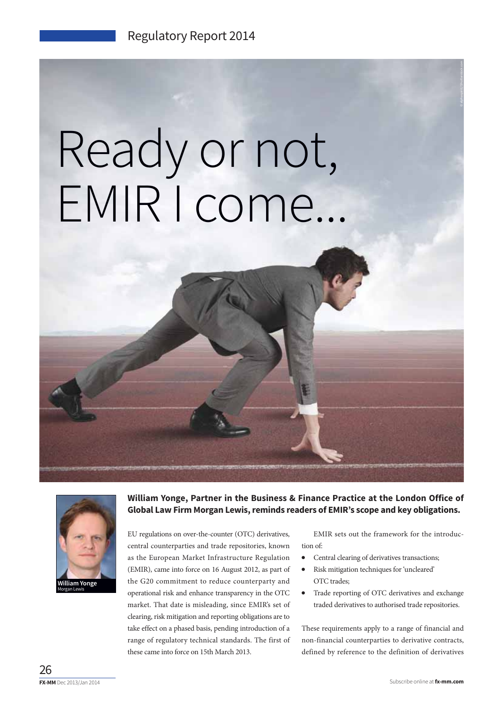## Ready or not, EMIR I come...



**William Yonge, Partner in the Business & Finance Practice at the London Office of Global Law Firm Morgan Lewis, reminds readers of EMIR's scope and key obligations.**

EU regulations on over-the-counter (OTC) derivatives, central counterparties and trade repositories, known as the European Market Infrastructure Regulation (EMIR), came into force on 16 August 2012, as part of the G20 commitment to reduce counterparty and operational risk and enhance transparency in the OTC market. That date is misleading, since EMIR's set of clearing, risk mitigation and reporting obligations are to take effect on a phased basis, pending introduction of a range of regulatory technical standards. The first of these came into force on 15th March 2013.

EMIR sets out the framework for the introduction of:

- Central clearing of derivatives transactions;
- Risk mitigation techniques for 'uncleared' OTC trades;
- Trade reporting of OTC derivatives and exchange traded derivatives to authorised trade repositories.

These requirements apply to a range of financial and non-financial counterparties to derivative contracts, defined by reference to the definition of derivatives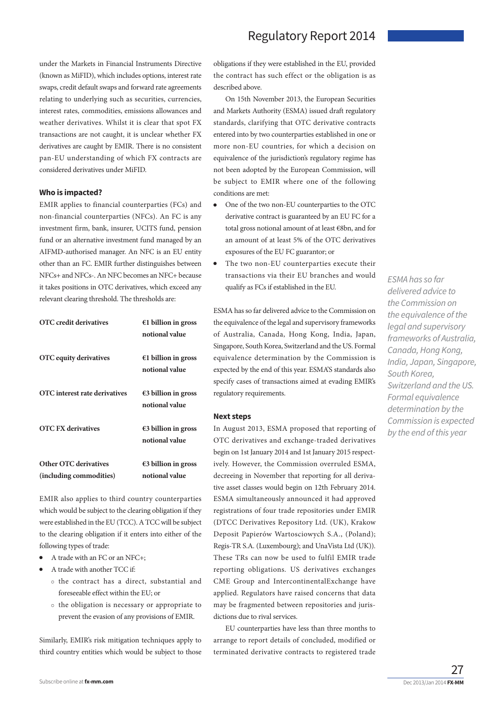under the Markets in Financial Instruments Directive (known as MiFID), which includes options, interest rate swaps, credit default swaps and forward rate agreements relating to underlying such as securities, currencies, interest rates, commodities, emissions allowances and weather derivatives. Whilst it is clear that spot FX transactions are not caught, it is unclear whether FX derivatives are caught by EMIR. There is no consistent pan-EU understanding of which FX contracts are considered derivatives under MiFID.

## **Who is impacted?**

EMIR applies to financial counterparties (FCs) and non-financial counterparties (NFCs). An FC is any investment firm, bank, insurer, UCITS fund, pension fund or an alternative investment fund managed by an AIFMD-authorised manager. An NFC is an EU entity other than an FC. EMIR further distinguishes between NFCs+ and NFCs-. An NFC becomes an NFC+ because it takes positions in OTC derivatives, which exceed any relevant clearing threshold. The thresholds are:

| <b>OTC</b> credit derivatives                           | $€1 billion$ in gross<br>notional value         |
|---------------------------------------------------------|-------------------------------------------------|
| <b>OTC</b> equity derivatives                           | $€1 billion$ in gross<br>notional value         |
| <b>OTC</b> interest rate derivatives                    | $\epsilon$ 3 billion in gross<br>notional value |
| <b>OTC FX derivatives</b>                               | $\epsilon$ 3 billion in gross<br>notional value |
| <b>Other OTC derivatives</b><br>(including commodities) | $\epsilon$ 3 billion in gross<br>notional value |

EMIR also applies to third country counterparties which would be subject to the clearing obligation if they were established in the EU (TCC). A TCC will be subject to the clearing obligation if it enters into either of the following types of trade:

- A trade with an FC or an NFC+;
- A trade with another TCC if:
	- o the contract has a direct, substantial and foreseeable effect within the EU; or
	- o the obligation is necessary or appropriate to prevent the evasion of any provisions of EMIR.

Similarly, EMIR's risk mitigation techniques apply to third country entities which would be subject to those obligations if they were established in the EU, provided the contract has such effect or the obligation is as described above.

On 15th November 2013, the European Securities and Markets Authority (ESMA) issued draft regulatory standards, clarifying that OTC derivative contracts entered into by two counterparties established in one or more non-EU countries, for which a decision on equivalence of the jurisdiction's regulatory regime has not been adopted by the European Commission, will be subject to EMIR where one of the following conditions are met:

- One of the two non-EU counterparties to the OTC derivative contract is guaranteed by an EU FC for a total gross notional amount of at least €8bn, and for an amount of at least 5% of the OTC derivatives exposures of the EU FC guarantor; or
- The two non-EU counterparties execute their transactions via their EU branches and would qualify as FCs if established in the EU.

ESMA has so far delivered advice to the Commission on the equivalence of the legal and supervisory frameworks of Australia, Canada, Hong Kong, India, Japan, Singapore, South Korea, Switzerland and the US. Formal equivalence determination by the Commission is expected by the end of this year. ESMA'S standards also specify cases of transactions aimed at evading EMIR's regulatory requirements.

## **Next steps**

In August 2013, ESMA proposed that reporting of OTC derivatives and exchange-traded derivatives begin on 1st January 2014 and 1st January 2015 respectively. However, the Commission overruled ESMA, decreeing in November that reporting for all derivative asset classes would begin on 12th February 2014. ESMA simultaneously announced it had approved registrations of four trade repositories under EMIR (DTCC Derivatives Repository Ltd. (UK), Krakow Deposit Papierów Wartosciowych S.A., (Poland); Regis-TR S.A. (Luxembourg); and UnaVista Ltd (UK)). These TRs can now be used to fulfil EMIR trade reporting obligations. US derivatives exchanges CME Group and IntercontinentalExchange have applied. Regulators have raised concerns that data may be fragmented between repositories and jurisdictions due to rival services.

EU counterparties have less than three months to arrange to report details of concluded, modified or terminated derivative contracts to registered trade

ESMA has so far delivered advice to the Commission on the equivalence of the legal and supervisory frameworks of Australia, Canada, Hong Kong, India, Japan, Singapore, South Korea, Switzerland and the US. Formal equivalence determination by the Commission is expected by the end of this year